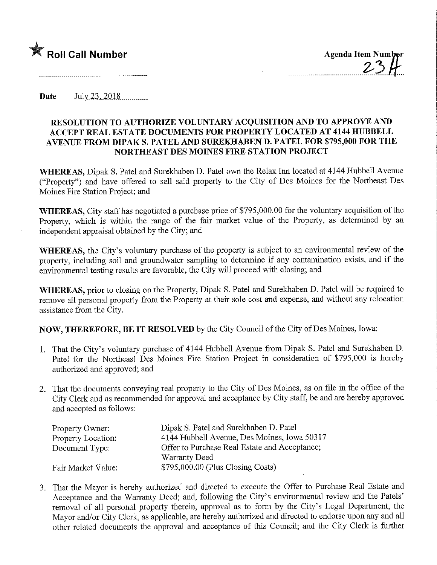

Date.......July,23,.201.8.

## RESOLUTION TO AUTHORIZE VOLUNTARY ACQUISITION AND TO APPROVE AND ACCEPT REAL ESTATE DOCUMENTS FOR PROPERTY LOCATED AT 4144 HUBBELL AVENUE FROM DIPAK S. PATEL AND SUREKHABEN D. PATEL FOR \$795,000 FOR THE NORTHEAST DES MOINES FIRE STATION PROJECT

WHEREAS, Dipak S. Patel and Surekhaben D. Patel own the Relax Inn located at 4144 Hubbell Avenue ("Property") and have offered to sell said property to the City of Des Moines for the Northeast Des Moines Fire Station Project; and

WHEREAS, City staff has negotiated a purchase price of \$795,000.00 for the voluntary acquisition of the Property, which is within the range of the fair market value of the Property, as determined by an independent appraisal obtained by the City; and

WHEREAS, the City's voluntary purchase of the property is subject to an environmental review of the property, including soil and groundwater sampling to determine if any contamination exists, and if the environmental testing results are favorable, the City will proceed with closing; and

WHEREAS, prior to closing on the Property, Dipak S. Patel and Surekhaben D. Patel will be required to remove all personal property from the Property at their sole cost and expense, and without any relocation assistance from the City.

NOW, THEREFORE, BE IT RESOLVED by the City Council of the City of Des Moines, Iowa:

- 1. That the City's voluntary purchase of 4144 Hubbell Avenue from Dipak S. Patel and Surekhaben D. Patel for the Northeast Des Moines Fire Station Project in consideration of \$795,000 is hereby authorized and approved; and
- 2. That the documents conveying real property to the City of Des Moines, as on file in the office of the City Clerk and as recommended for approval and acceptance by City staff, be and are hereby approved and accepted as follows:

| Property Owner:    | Dipak S. Patel and Surekhaben D. Patel        |
|--------------------|-----------------------------------------------|
| Property Location: | 4144 Hubbell Avenue, Des Moines, Iowa 50317   |
| Document Type:     | Offer to Purchase Real Estate and Acceptance; |
|                    | Warranty Deed                                 |
| Fair Market Value: | $$795,000.00$ (Plus Closing Costs)            |

3. That the Mayor is hereby authorized and directed to execute the Offer to Purchase Real Estate and Acceptance and the Warranty Deed; and, following the City's environmental review and the Patels' removal of all personal property therein, approval as to form by the City's Legal Department, the Mayor and/or City Clerk, as applicable, are hereby authorized and directed to endorse upon any and all other related documents the approval and acceptance of this Council; and the City Clerk is further